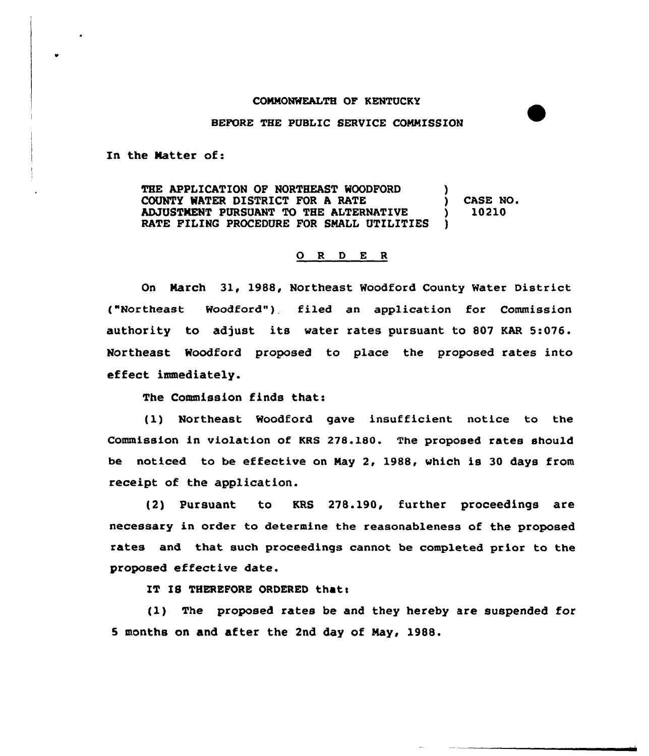## COMMONWEALTH OF KENTUCKY

## BEFORE THE PUBLIC SERVICE COMMISSION

In the Matter of:

THE APPLICATION OF NORTHEAST WOODFORD COUNTY WATER DISTRICT FOR A RATE ( ) CASE NO.<br>ADJUSTMENT PURSUANT TO THE ALTERNATIVE ( ) 10210 ADJUSTMENT PURSUANT TO THE ALTERNATIVE RATE FILING PROCEDURE FOR SMALL UTILITIES

## 0 <sup>R</sup> <sup>D</sup> E <sup>R</sup>

On March 31, 1988, Northeast Woodford County Water District ("Northeast Woodford"), filed an application for Commission authority to adjust its water rates pursuant to 807 KAR 5:076. Northeast Woodford proposed to place the proposed rates into effect immediately.

The Commission finds that:

(1) Northeast Woodford gave insufficient notice to the Commission in violation of KRS 278.180. The proposed rates should be noticed to be effective on May 2, 1988, which is 30 days from receipt of the application.

(2) Pursuant to KRS 278.190, further proceedings are necessary in order to determine the reasonableness of the proposed rates and that such proceedings cannot be completed prior to the proposed effective date.

IT IS THEREFORE ORDERED that:

(1) The proposed rates be and they hereby are suspended for 5 months on and after the 2nd day of May, 1988.